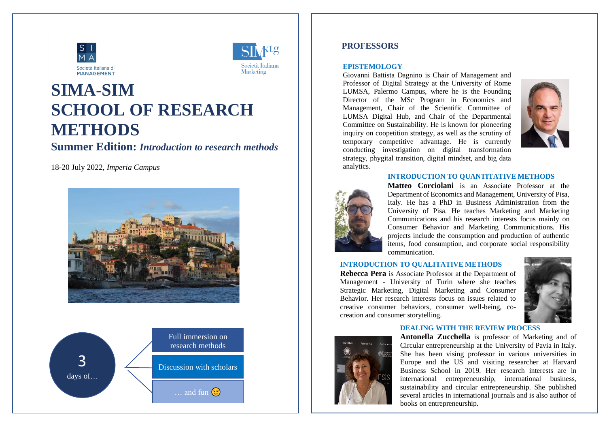



# **SIMA-SIM SCHOOL OF RESEARCH METHODS**

## **Summer Edition:** *Introduction to research methods*

18-20 July 2022, *Imperia Campus*





## **PROFESSORS**

#### **EPISTEMOLOGY**

Giovanni Battista Dagnino is Chair of Management and Professor of Digital Strategy at the University of Rome LUMSA, Palermo Campus, where he is the Founding Director of the MSc Program in Economics and Management, Chair of the Scientific Committee of LUMSA Digital Hub, and Chair of the Departmental Committee on Sustainability. He is known for pioneering inquiry on coopetition strategy, as well as the scrutiny of temporary competitive advantage. He is currently conducting investigation on digital transformation strategy, phygital transition, digital mindset, and big data analytics.



#### **INTRODUCTION TO QUANTITATIVE METHODS**



**Matteo Corciolani** is an Associate Professor at the Department of Economics and Management, University of Pisa, Italy. He has a PhD in Business Administration from the University of Pisa. He teaches Marketing and Marketing Communications and his research interests focus mainly on Consumer Behavior and Marketing Communications. His projects include the consumption and production of authentic items, food consumption, and corporate social responsibility communication.

#### **INTRODUCTION TO QUALITATIVE METHODS**

**Rebecca Pera** is Associate Professor at the Department of Management - University of Turin where she teaches Strategic Marketing, Digital Marketing and Consumer Behavior. Her research interests focus on issues related to creative consumer behaviors, consumer well-being, cocreation and consumer storytelling.



#### **DEALING WITH THE REVIEW PROCESS**



**Antonella Zucchella** is professor of Marketing and of Circular entrepreneurship at the University of Pavia in Italy. She has been vising professor in various universities in Europe and the US and visiting researcher at Harvard Business School in 2019. Her research interests are in international entrepreneurship, international business, sustainability and circular entrepreneurship. She published several articles in international journals and is also author of books on entrepreneurship.